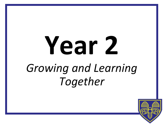# **Year 2**  *Growing and Learning Together*

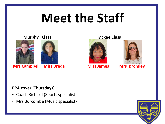### **Meet the Staff**



**Mrs Campbell Miss Breda Miss James Mrs Bromley** 





### **PPA cover (Thursdays)**

- Coach Richard (Sports specialist)
- Mrs Burcombe (Music specialist)

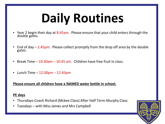## **Daily Routines**

- Year 2 begin their day at 8.45am. Please ensure that your child enters through the double gates.
- End of day  $-$  2.45pm. Please collect promptly from the drop off area by the double gates.
- Break Time 10.30am 10.45 am. Children have free fruit in class.
- Lunch Time  $-12.00$ pm  $-12.45$ pm

### **Please ensure all children have a NAMED water bottle in school.**

### **PE days**

- Thursdays-Coach Richard (Mckee Class) After Half Term-Murphy Class
- Tuesdays with Miss James and Mrs Campbell

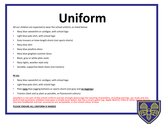### **Uniform**

All our children are expected to wear the school uniform, as listed below:

- Navy blue sweatshirt or cardigan, with school logo
- Light blue polo shirt, with school logo
- Grey trousers or knee-length shorts (not sports shorts)
- Navy blue skirt
- Navy blue pinafore dress
- Navy blue gingham summer dress
- Black, grey or white plain socks
- Navy tights, woollen style only
- Sensible, supportive black shoes (not trainers)

#### **PE kit:**

- Navy blue sweatshirt or cardigan, with school logo
- Light blue polo shirt, with school logo
- Plain **navy** blue jogging bottoms or sports shorts (not grey and **no leggings**)
- Trainers (dark and as plain as possible, no fluorescent colours)

Jewellery is not part of the school uniform and we strongly discourage the wearing of jewellery, including earrings, ear studs and any kind of nail accessory. Children may wear a simple wrist-watch, but not a smart watch (eg. Apple Watch), Fitbit or other similar devices. Discrete headbands and hair accessories are acceptable, in the school colour of blue.

#### **PLEASE ENSURE ALL UNIFORM IS NAMED**

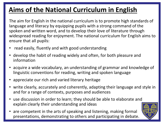### **Aims of the National Curriculum in English**

The aim for English in the national curriculum is to promote high standards of language and literacy by equipping pupils with a strong command of the spoken and written word, and to develop their love of literature through widespread reading for enjoyment. The national curriculum for English aims to ensure that all pupils:

- read easily, fluently and with good understanding
- develop the habit of reading widely and often, for both pleasure and information
- acquire a wide vocabulary, an understanding of grammar and knowledge of linguistic conventions for reading, writing and spoken language
- appreciate our rich and varied literary heritage
- write clearly, accurately and coherently, adapting their language and style in and for a range of contexts, purposes and audiences
- use discussion in order to learn; they should be able to elaborate and explain clearly their understanding and ideas
- are competent in the arts of speaking and listening, making formal presentations, demonstrating to others and participating in debate.

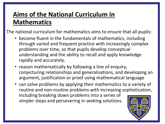### **Aims of the National Curriculum in Mathematics**

The national curriculum for mathematics aims to ensure that all pupils:

- become fluent in the fundamentals of mathematics, including through varied and frequent practice with increasingly complex problems over time, so that pupils develop conceptual understanding and the ability to recall and apply knowledge rapidly and accurately.
- reason mathematically by following a line of enquiry, conjecturing relationships and generalisations, and developing an argument, justification or proof using mathematical language
- can solve problems by applying their mathematics to a variety of routine and non-routine problems with increasing sophistication, including breaking down problems into a series of simpler steps and persevering in seeking solutions.

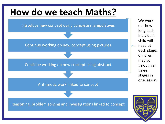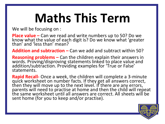## **Maths This Term**

We will be focusing on :

**Place value –** Can we read and write numbers up to 50? Do we know what the value of each digit is? Do we know what 'greater than' and 'less than' mean?

**Addition and subtraction –** Can we add and subtract within 50?

**Reasoning problems –** Can the children explain their answers in words. Proving/disproving statements linked to place value and addition/subtraction. Providing examples for 'True or False' statements.

**Rapid Recall-** Once a week, the children will complete a 3-minute quick worksheet on number facts. If they get all answers correct, then they will move up to the next level. If there are any errors, parents will need to practise at home and then the child will repeat the same worksheet until all answers are correct. All sheets will be sent home (for you to keep and/or practise).

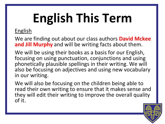## **English This Term**

### English

We are finding out about our class authors **David Mckee and Jill Murphy** and will be writing facts about them.

We will be using their books as a basis for our English, focusing on using punctuation, conjunctions and using phonetically plausible spellings in their writing. We will also be focusing on adjectives and using new vocabulary in our writing.

We will also be focusing on the children being able to read their own writing to ensure that it makes sense and they will edit their writing to improve the overall quality of it.

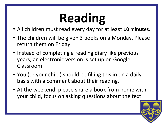## **Reading**

- All children must read every day for at least **10 minutes.**
- The children will be given 3 books on a Monday. Please return them on Friday.
- Instead of completing a reading diary like previous years, an electronic version is set up on Google Classroom.
- You (or your child) should be filling this in on a daily basis with a comment about their reading.
- At the weekend, please share a book from home with your child, focus on asking questions about the text.

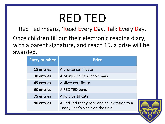### RED TED

Red Ted means, 'Read Every Day, Talk Every Day.

Once children fill out their electronic reading diary, with a parent signature, and reach 15, a prize will be awarded.

| <b>Entry number</b> | <b>Prize</b>                                                                    |
|---------------------|---------------------------------------------------------------------------------|
| <b>15 entries</b>   | A bronze certificate                                                            |
| <b>30 entries</b>   | A Monks Orchard book mark                                                       |
| <b>45 entries</b>   | A silver certificate                                                            |
| 60 entries          | A RED TED pencil                                                                |
| <b>75 entries</b>   | A gold certificate                                                              |
| 90 entries          | A Red Ted teddy bear and an invitation to a<br>Teddy Bear's picnic on the field |

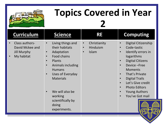

### **Topics Covered in Year**

**2**

| <b>Curriculum</b>                                                                               | <b>Science</b>                                                                                                                                                                                                                                                                            | <b>RE</b>                                                                | <b>Computing</b>                                                                                                                                                                                                                                                                                                                                                                                                     |
|-------------------------------------------------------------------------------------------------|-------------------------------------------------------------------------------------------------------------------------------------------------------------------------------------------------------------------------------------------------------------------------------------------|--------------------------------------------------------------------------|----------------------------------------------------------------------------------------------------------------------------------------------------------------------------------------------------------------------------------------------------------------------------------------------------------------------------------------------------------------------------------------------------------------------|
| Class authors-<br>$\bullet$<br>David Mckee and<br><b>Jill Murphy</b><br>My habitat<br>$\bullet$ | Living things and<br>$\bullet$<br>their habitats<br>Adaptation<br>$\bullet$<br>Food chains<br>$\bullet$<br>Plants<br>$\bullet$<br>Animals including<br>$\bullet$<br><b>Humans</b><br>Uses of Everyday<br>$\bullet$<br><b>Materials</b><br>We will also be<br>working<br>scientifically by | Christianity<br>$\bullet$<br>Hinduism<br>$\bullet$<br>Islam<br>$\bullet$ | Digital Citizenship<br>$\bullet$<br>Code-tastic<br>$\bullet$<br>Identify errors in<br>$\bullet$<br>logarithms<br><b>Digital Citizens</b><br>$\bullet$<br>Device-Free<br>$\bullet$<br><b>Moments</b><br>That's Private<br>$\bullet$<br><b>Digital Trails</b><br>$\bullet$<br>Let's Give credit<br>$\bullet$<br><b>Photo Editors</b><br>$\bullet$<br><b>Young Authors</b><br>$\bullet$<br>You've Got mail<br>$\bullet$ |
|                                                                                                 | doing<br>experiments.                                                                                                                                                                                                                                                                     |                                                                          |                                                                                                                                                                                                                                                                                                                                                                                                                      |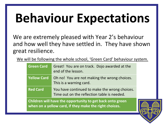## **Behaviour Expectations**

We are extremely pleased with Year 2's behaviour and how well they have settled in. They have shown great resilience.

We will be following the whole school, 'Green Card' behaviour system.

| <b>Green Card</b>                                         | Great! You are on track. Dojo awarded at the<br>end of the lesson.                           |  |
|-----------------------------------------------------------|----------------------------------------------------------------------------------------------|--|
| <b>Yellow Card</b>                                        | Oh no! You are not making the wrong choices.<br>This is a warning card.                      |  |
| <b>Red Card</b>                                           | You have continued to make the wrong choices.<br>Time out on the reflection table is needed. |  |
| Childron will have the ennertunity to get hack onto green |                                                                                              |  |

**Children will have the opportunity to get back onto green when on a yellow card, if they make the right choices.**

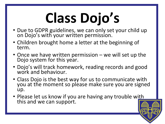# **Class Dojo's**

- Due to GDPR guidelines, we can only set your child up on Dojo's with your written permission.
- Children brought home a letter at the beginning of term.
- Once we have written permission we will set up the Dojo system for this year.
- Dojo's will track homework, reading records and good work and behaviour.
- Class Dojo is the best way for us to communicate with you at the moment so please make sure you are signed up.
- Please let us know if you are having any trouble with this and we can support.

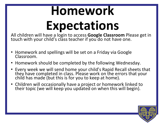## **Homework Expectations**

All children will have a login to access **Google Classroom** Please get in touch with your child's class teacher if you do not have one.

- Homework and spellings will be set on a Friday via Google Classroom.
- Homework should be completed by the following Wednesday.
- Every week we will send home your child's Rapid Recall sheets that they have completed in class. Please work on the errors that your child has made (but this is for you to keep at home).
- Children will occasionally have a project or homework linked to their topic (we will keep you updated on when this will begin).

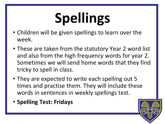# **Spellings**

- Children will be given spellings to learn over the week.
- These are taken from the statutory Year 2 word list and also from the high frequency words for year 2. Sometimes we will send home words that they find tricky to spell in class.
- They are expected to write each spelling out 5 times and practise them. They will include these words in sentences in weekly spellings test.
- **Spelling Test: Fridays**

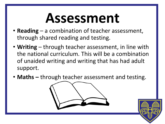## **Assessment**

- **Reading** a combination of teacher assessment, through shared reading and testing.
- **Writing** through teacher assessment, in line with the national curriculum. This will be a combination of unaided writing and writing that has had adult support.
- **Maths –** through teacher assessment and testing.



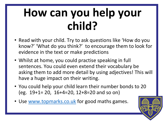### **How can you help your child?**

- Read with your child. Try to ask questions like 'How do you know?' 'What do you think?' to encourage them to look for evidence in the text or make predictions
- Whilst at home, you could practise speaking in full sentences. You could even extend their vocabulary be asking them to add more detail by using adjectives! This will have a huge impact on their writing.
- You could help your child learn their number bonds to 20 (eg. 19+1= 20, 16+4=20, 12+8=20 and so on)
- Use [www.topmarks.co.uk](http://www.topmarks.co.uk/) for good maths games.

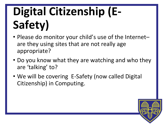### **Digital Citizenship (E-Safety)**

- Please do monitor your child's use of the Internet– are they using sites that are not really age appropriate?
- Do you know what they are watching and who they are 'talking' to?
- We will be covering E-Safety (now called Digital Citizenship) in Computing.